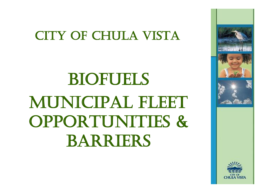### City of Chula Vista

# **BIOFUELS** MUNICIPAL FLEET opportunities & Barriers

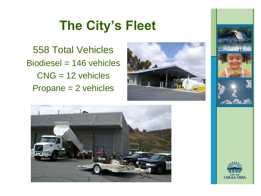### **The City's Fleet**

558 Total Vehicles Biodiesel = 146 vehicles CNG = 12 vehicles Propane = 2 vehicles





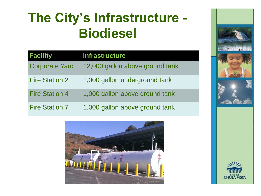### **The City's Infrastructure - Biodiesel**

| <b>Facility</b>       | <b>Infrastructure</b>           |
|-----------------------|---------------------------------|
| <b>Corporate Yard</b> | 12,000 gallon above ground tank |
| <b>Fire Station 2</b> | 1,000 gallon underground tank   |
| <b>Fire Station 4</b> | 1,000 gallon above ground tank  |
| <b>Fire Station 7</b> | 1,000 gallon above ground tank  |



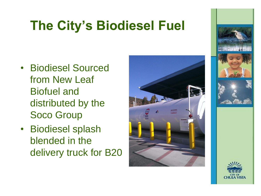### **The City's Biodiesel Fuel**

- Biodiesel Sourced from New Leaf Biofuel and distributed by the Soco Group
- Biodiesel splash blended in the delivery truck for B20



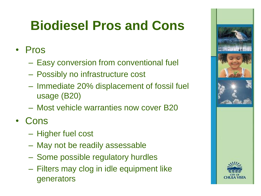### **Biodiesel Pros and Cons**

#### • Pros

- Easy conversion from conventional fuel
- Possibly no infrastructure cost
- Immediate 20% displacement of fossil fuel usage (B20)
- Most vehicle warranties now cover B20
- Cons
	- Higher fuel cost
	- May not be readily assessable
	- Some possible regulatory hurdles
	- Filters may clog in idle equipment like generators

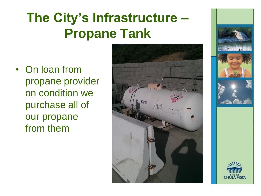### **The City's Infrastructure – Propane Tank**

• On loan from propane provider on condition we purchase all of our propane from them



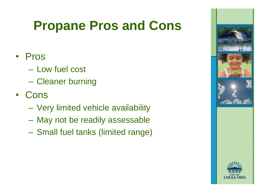### **Propane Pros and Cons**

#### • Pros

- Low fuel cost
- Cleaner burning
- Cons
	- Very limited vehicle availability
	- May not be readily assessable
	- Small fuel tanks (limited range)

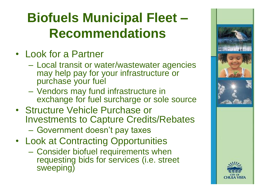### **Biofuels Municipal Fleet – Recommendations**

- Look for a Partner
	- Local transit or water/wastewater agencies may help pay for your infrastructure or purchase your fuel
	- Vendors may fund infrastructure in exchange for fuel surcharge or sole source
- Structure Vehicle Purchase or Investments to Capture Credits/Rebates
	- Government doesn't pay taxes
- Look at Contracting Opportunities
	- Consider biofuel requirements when requesting bids for services (i.e. street sweeping)